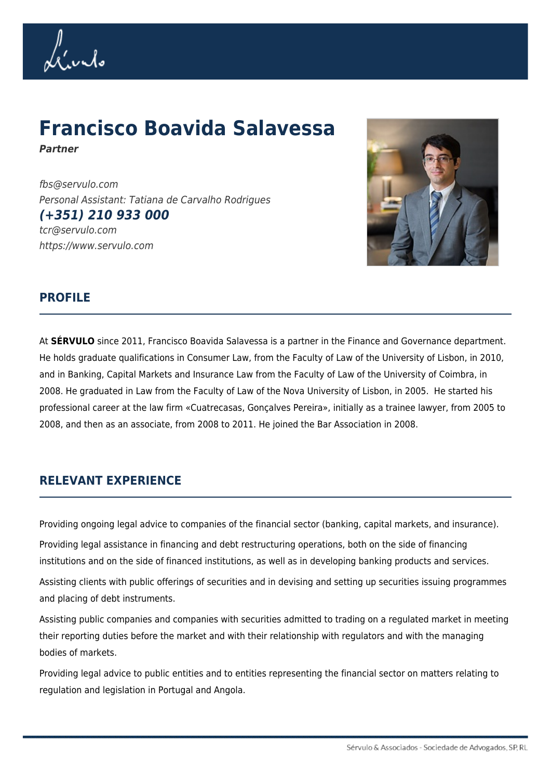Livelo

# **Francisco Boavida Salavessa**

*Partner*

fbs@servulo.com Personal Assistant: Tatiana de Carvalho Rodrigues *(+351) 210 933 000* tcr@servulo.com https://www.servulo.com



## **PROFILE**

At **SÉRVULO** since 2011, Francisco Boavida Salavessa is a partner in the Finance and Governance department. He holds graduate qualifications in Consumer Law, from the Faculty of Law of the University of Lisbon, in 2010, and in Banking, Capital Markets and Insurance Law from the Faculty of Law of the University of Coimbra, in 2008. He graduated in Law from the Faculty of Law of the Nova University of Lisbon, in 2005. He started his professional career at the law firm «Cuatrecasas, Gonçalves Pereira», initially as a trainee lawyer, from 2005 to 2008, and then as an associate, from 2008 to 2011. He joined the Bar Association in 2008.

## **RELEVANT EXPERIENCE**

Providing ongoing legal advice to companies of the financial sector (banking, capital markets, and insurance).

Providing legal assistance in financing and debt restructuring operations, both on the side of financing institutions and on the side of financed institutions, as well as in developing banking products and services.

Assisting clients with public offerings of securities and in devising and setting up securities issuing programmes and placing of debt instruments.

Assisting public companies and companies with securities admitted to trading on a regulated market in meeting their reporting duties before the market and with their relationship with regulators and with the managing bodies of markets.

Providing legal advice to public entities and to entities representing the financial sector on matters relating to regulation and legislation in Portugal and Angola.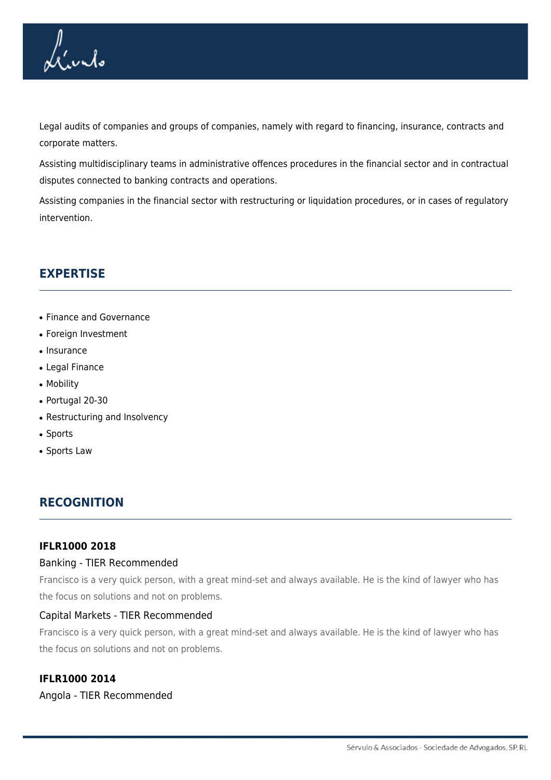

Legal audits of companies and groups of companies, namely with regard to financing, insurance, contracts and corporate matters.

Assisting multidisciplinary teams in administrative offences procedures in the financial sector and in contractual disputes connected to banking contracts and operations.

Assisting companies in the financial sector with restructuring or liquidation procedures, or in cases of regulatory intervention.

# **EXPERTISE**

- Finance and Governance
- Foreign Investment
- Insurance
- Legal Finance
- Mobility
- Portugal 20-30
- Restructuring and Insolvency
- Sports
- Sports Law

## **RECOGNITION**

#### **IFLR1000 2018**

#### Banking - TIER Recommended

Francisco is a very quick person, with a great mind-set and always available. He is the kind of lawyer who has the focus on solutions and not on problems.

#### Capital Markets - TIER Recommended

Francisco is a very quick person, with a great mind-set and always available. He is the kind of lawyer who has the focus on solutions and not on problems.

#### **IFLR1000 2014**

#### Angola - TIER Recommended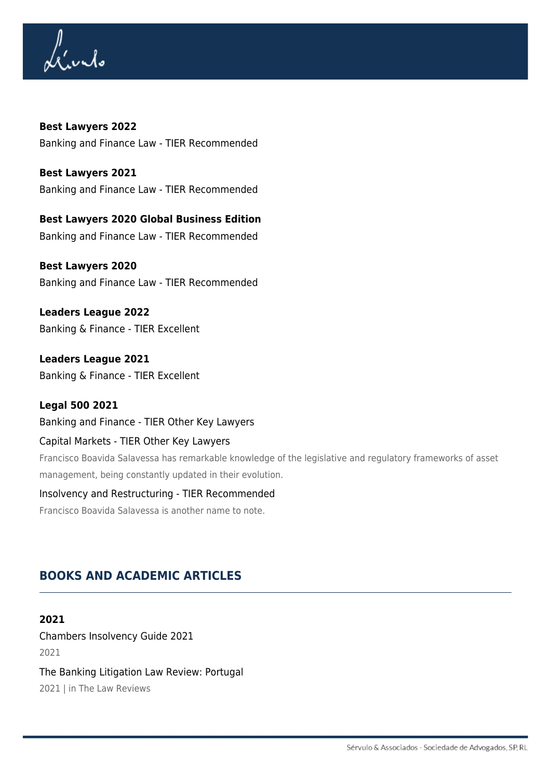Lívis

**Best Lawyers 2022** Banking and Finance Law - TIER Recommended

**Best Lawyers 2021** Banking and Finance Law - TIER Recommended

**Best Lawyers 2020 Global Business Edition** Banking and Finance Law - TIER Recommended

**Best Lawyers 2020** Banking and Finance Law - TIER Recommended

**Leaders League 2022** Banking & Finance - TIER Excellent

**Leaders League 2021** Banking & Finance - TIER Excellent

### **Legal 500 2021**

Banking and Finance - TIER Other Key Lawyers

#### Capital Markets - TIER Other Key Lawyers

Francisco Boavida Salavessa has remarkable knowledge of the legislative and regulatory frameworks of asset management, being constantly updated in their evolution.

## Insolvency and Restructuring - TIER Recommended

Francisco Boavida Salavessa is another name to note.

# **BOOKS AND ACADEMIC ARTICLES**

#### **2021**

Chambers Insolvency Guide 2021 2021

The Banking Litigation Law Review: Portugal 2021 | in The Law Reviews